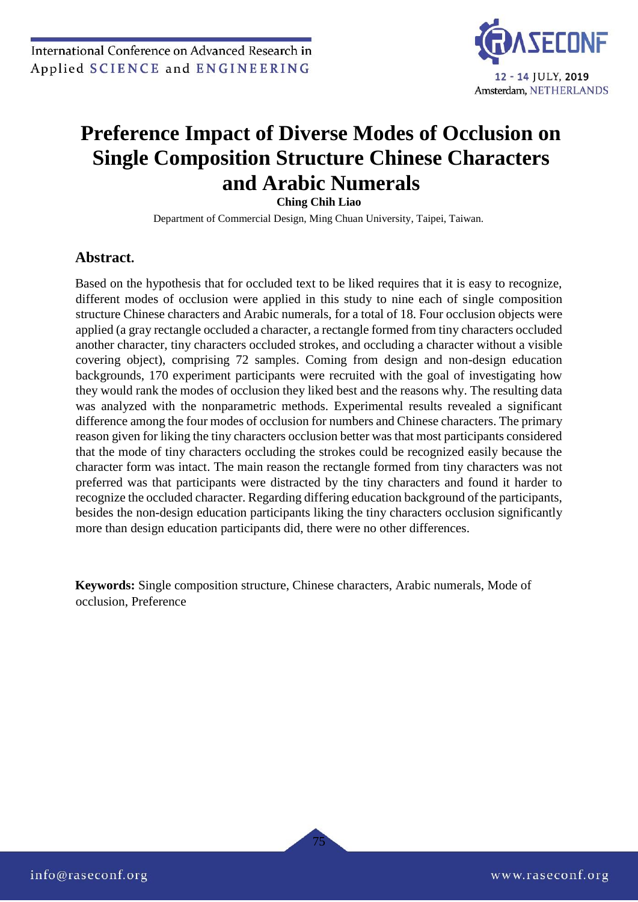

# **Preference Impact of Diverse Modes of Occlusion on Single Composition Structure Chinese Characters and Arabic Numerals**

**Ching Chih Liao** 

Department of Commercial Design, Ming Chuan University, Taipei, Taiwan.

# **Abstract.**

Based on the hypothesis that for occluded text to be liked requires that it is easy to recognize, different modes of occlusion were applied in this study to nine each of single composition structure Chinese characters and Arabic numerals, for a total of 18. Four occlusion objects were applied (a gray rectangle occluded a character, a rectangle formed from tiny characters occluded another character, tiny characters occluded strokes, and occluding a character without a visible covering object), comprising 72 samples. Coming from design and non-design education backgrounds, 170 experiment participants were recruited with the goal of investigating how they would rank the modes of occlusion they liked best and the reasons why. The resulting data was analyzed with the nonparametric methods. Experimental results revealed a significant difference among the four modes of occlusion for numbers and Chinese characters. The primary reason given for liking the tiny characters occlusion better was that most participants considered that the mode of tiny characters occluding the strokes could be recognized easily because the character form was intact. The main reason the rectangle formed from tiny characters was not preferred was that participants were distracted by the tiny characters and found it harder to recognize the occluded character. Regarding differing education background of the participants, besides the non-design education participants liking the tiny characters occlusion significantly more than design education participants did, there were no other differences.

**Keywords:** Single composition structure, Chinese characters, Arabic numerals, Mode of occlusion, Preference

75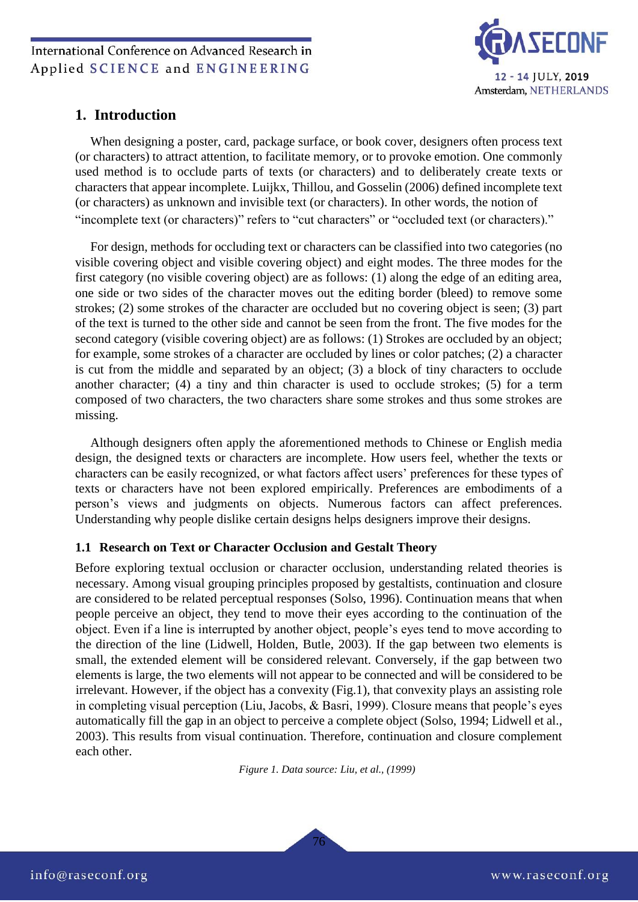

## **1. Introduction**

When designing a poster, card, package surface, or book cover, designers often process text (or characters) to attract attention, to facilitate memory, or to provoke emotion. One commonly used method is to occlude parts of texts (or characters) and to deliberately create texts or characters that appear incomplete. Luijkx, Thillou, and Gosselin (2006) defined incomplete text (or characters) as unknown and invisible text (or characters). In other words, the notion of "incomplete text (or characters)" refers to "cut characters" or "occluded text (or characters)."

For design, methods for occluding text or characters can be classified into two categories (no visible covering object and visible covering object) and eight modes. The three modes for the first category (no visible covering object) are as follows: (1) along the edge of an editing area, one side or two sides of the character moves out the editing border (bleed) to remove some strokes; (2) some strokes of the character are occluded but no covering object is seen; (3) part of the text is turned to the other side and cannot be seen from the front. The five modes for the second category (visible covering object) are as follows: (1) Strokes are occluded by an object; for example, some strokes of a character are occluded by lines or color patches; (2) a character is cut from the middle and separated by an object; (3) a block of tiny characters to occlude another character; (4) a tiny and thin character is used to occlude strokes; (5) for a term composed of two characters, the two characters share some strokes and thus some strokes are missing.

Although designers often apply the aforementioned methods to Chinese or English media design, the designed texts or characters are incomplete. How users feel, whether the texts or characters can be easily recognized, or what factors affect users' preferences for these types of texts or characters have not been explored empirically. Preferences are embodiments of a person's views and judgments on objects. Numerous factors can affect preferences. Understanding why people dislike certain designs helps designers improve their designs.

#### **1.1 Research on Text or Character Occlusion and Gestalt Theory**

Before exploring textual occlusion or character occlusion, understanding related theories is necessary. Among visual grouping principles proposed by gestaltists, continuation and closure are considered to be related perceptual responses (Solso, 1996). Continuation means that when people perceive an object, they tend to move their eyes according to the continuation of the object. Even if a line is interrupted by another object, people's eyes tend to move according to the direction of the line (Lidwell, Holden, Butle, 2003). If the gap between two elements is small, the extended element will be considered relevant. Conversely, if the gap between two elements is large, the two elements will not appear to be connected and will be considered to be irrelevant. However, if the object has a convexity (Fig.1), that convexity plays an assisting role in completing visual perception (Liu, Jacobs, & Basri, 1999). Closure means that people's eyes automatically fill the gap in an object to perceive a complete object (Solso, 1994; Lidwell et al., 2003). This results from visual continuation. Therefore, continuation and closure complement each other.

*Figure 1. Data source: Liu, et al., (1999)*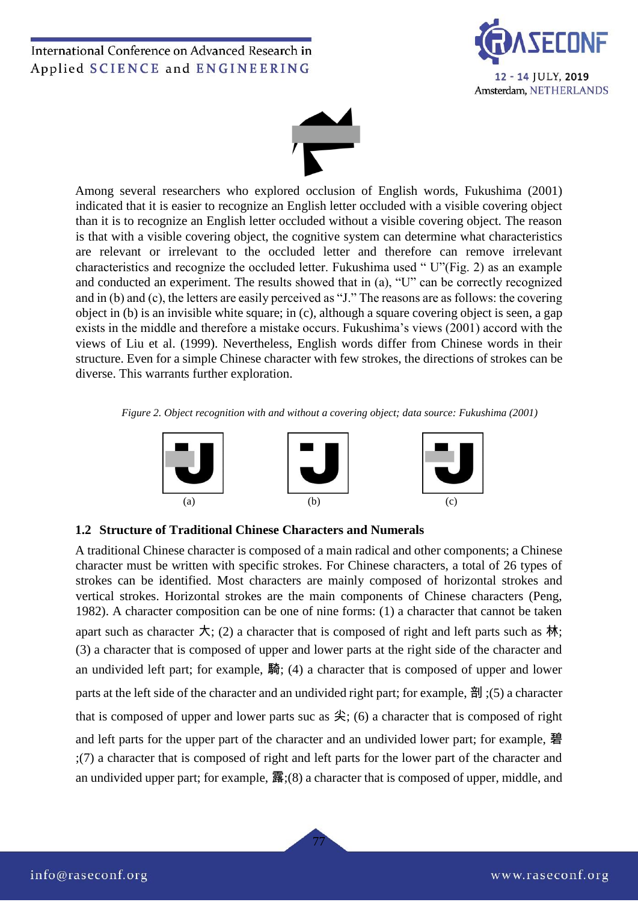



Among several researchers who explored occlusion of English words, Fukushima (2001) indicated that it is easier to recognize an English letter occluded with a visible covering object than it is to recognize an English letter occluded without a visible covering object. The reason is that with a visible covering object, the cognitive system can determine what characteristics are relevant or irrelevant to the occluded letter and therefore can remove irrelevant characteristics and recognize the occluded letter. Fukushima used " U"(Fig. 2) as an example and conducted an experiment. The results showed that in (a), "U" can be correctly recognized and in (b) and (c), the letters are easily perceived as "J." The reasons are as follows: the covering object in (b) is an invisible white square; in (c), although a square covering object is seen, a gap exists in the middle and therefore a mistake occurs. Fukushima's views (2001) accord with the views of Liu et al. (1999). Nevertheless, English words differ from Chinese words in their structure. Even for a simple Chinese character with few strokes, the directions of strokes can be diverse. This warrants further exploration.

*Figure 2. Object recognition with and without a covering object; data source: Fukushima (2001)*



#### **1.2 Structure of Traditional Chinese Characters and Numerals**

A traditional Chinese character is composed of a main radical and other components; a Chinese character must be written with specific strokes. For Chinese characters, a total of 26 types of strokes can be identified. Most characters are mainly composed of horizontal strokes and vertical strokes. Horizontal strokes are the main components of Chinese characters (Peng, 1982). A character composition can be one of nine forms: (1) a character that cannot be taken apart such as character  $\dot{\pi}$ ; (2) a character that is composed of right and left parts such as  $\dot{\pi}$ ; (3) a character that is composed of upper and lower parts at the right side of the character and an undivided left part; for example, 騎; (4) a character that is composed of upper and lower parts at the left side of the character and an undivided right part; for example, 剖; (5) a character that is composed of upper and lower parts suc as  $\hat{\mathcal{L}}$ ; (6) a character that is composed of right and left parts for the upper part of the character and an undivided lower part; for example, 碧 ;(7) a character that is composed of right and left parts for the lower part of the character and an undivided upper part; for example, 露;(8) a character that is composed of upper, middle, and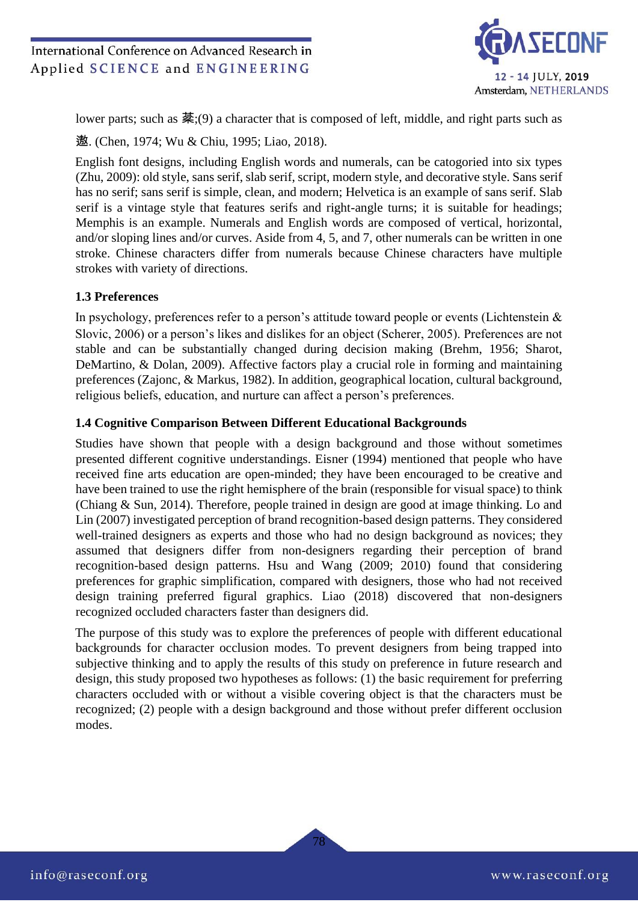

lower parts; such as 棻;(9) a character that is composed of left, middle, and right parts such as

遨. (Chen, 1974; Wu & Chiu, 1995; Liao, 2018).

English font designs, including English words and numerals, can be catogoried into six types (Zhu, 2009): old style, sans serif, slab serif, script, modern style, and decorative style. Sans serif has no serif; sans serif is simple, clean, and modern; Helvetica is an example of sans serif. Slab serif is a vintage style that features serifs and right-angle turns; it is suitable for headings; Memphis is an example. Numerals and English words are composed of vertical, horizontal, and/or sloping lines and/or curves. Aside from 4, 5, and 7, other numerals can be written in one stroke. Chinese characters differ from numerals because Chinese characters have multiple strokes with variety of directions.

#### **1.3 Preferences**

In psychology, preferences refer to a person's attitude toward people or events (Lichtenstein  $\&$ Slovic, 2006) or a person's likes and dislikes for an object (Scherer, 2005). Preferences are not stable and can be substantially changed during decision making (Brehm, 1956; Sharot, DeMartino, & Dolan, 2009). Affective factors play a crucial role in forming and maintaining preferences (Zajonc, & Markus, 1982). In addition, geographical location, cultural background, religious beliefs, education, and nurture can affect a person's preferences.

#### **1.4 Cognitive Comparison Between Different Educational Backgrounds**

Studies have shown that people with a design background and those without sometimes presented different cognitive understandings. Eisner (1994) mentioned that people who have received fine arts education are open-minded; they have been encouraged to be creative and have been trained to use the right hemisphere of the brain (responsible for visual space) to think (Chiang & Sun, 2014). Therefore, people trained in design are good at image thinking. Lo and Lin (2007) investigated perception of brand recognition-based design patterns. They considered well-trained designers as experts and those who had no design background as novices; they assumed that designers differ from non-designers regarding their perception of brand recognition-based design patterns. Hsu and Wang (2009; 2010) found that considering preferences for graphic simplification, compared with designers, those who had not received design training preferred figural graphics. Liao (2018) discovered that non-designers recognized occluded characters faster than designers did.

The purpose of this study was to explore the preferences of people with different educational backgrounds for character occlusion modes. To prevent designers from being trapped into subjective thinking and to apply the results of this study on preference in future research and design, this study proposed two hypotheses as follows: (1) the basic requirement for preferring characters occluded with or without a visible covering object is that the characters must be recognized; (2) people with a design background and those without prefer different occlusion modes.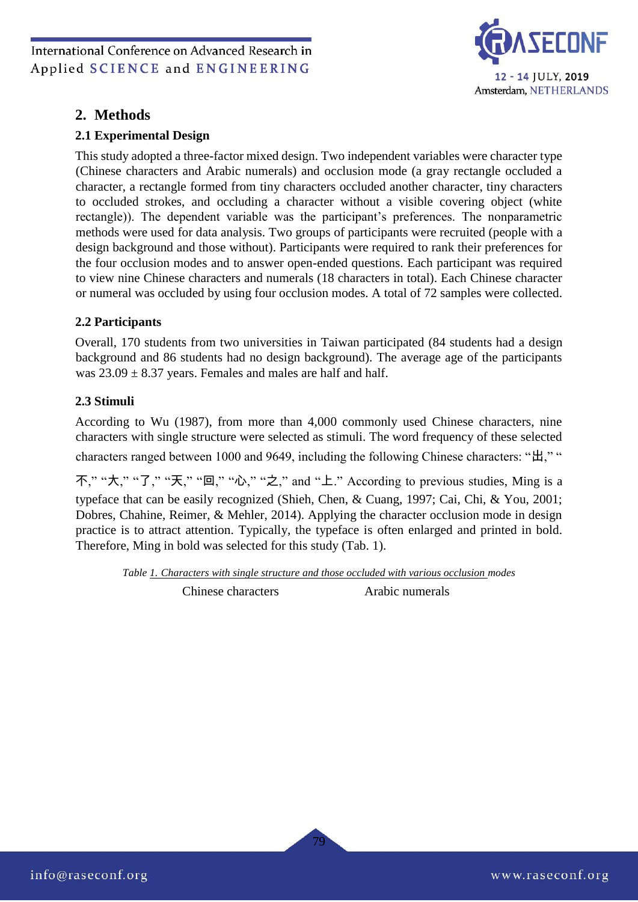

## **2. Methods**

## **2.1 Experimental Design**

This study adopted a three-factor mixed design. Two independent variables were character type (Chinese characters and Arabic numerals) and occlusion mode (a gray rectangle occluded a character, a rectangle formed from tiny characters occluded another character, tiny characters to occluded strokes, and occluding a character without a visible covering object (white rectangle)). The dependent variable was the participant's preferences. The nonparametric methods were used for data analysis. Two groups of participants were recruited (people with a design background and those without). Participants were required to rank their preferences for the four occlusion modes and to answer open-ended questions. Each participant was required to view nine Chinese characters and numerals (18 characters in total). Each Chinese character or numeral was occluded by using four occlusion modes. A total of 72 samples were collected.

## **2.2 Participants**

Overall, 170 students from two universities in Taiwan participated (84 students had a design background and 86 students had no design background). The average age of the participants was  $23.09 \pm 8.37$  years. Females and males are half and half.

#### **2.3 Stimuli**

According to Wu (1987), from more than 4,000 commonly used Chinese characters, nine characters with single structure were selected as stimuli. The word frequency of these selected

characters ranged between 1000 and 9649, including the following Chinese characters: "出," "

不," "大," "了," "天," "回," "心," "之," and "上." According to previous studies, Ming is a typeface that can be easily recognized (Shieh, Chen, & Cuang, 1997; Cai, Chi, & You, 2001; Dobres, Chahine, Reimer, & Mehler, 2014). Applying the character occlusion mode in design practice is to attract attention. Typically, the typeface is often enlarged and printed in bold. Therefore, Ming in bold was selected for this study (Tab. 1).

*Table 1. Characters with single structure and those occluded with various occlusion modes*

Chinese characters Arabic numerals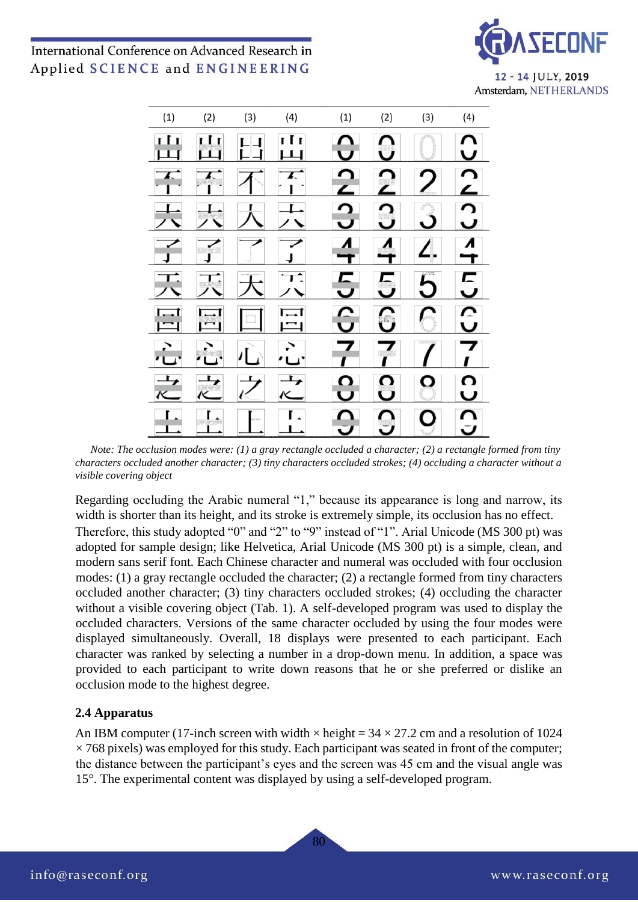



*Note: The occlusion modes were: (1) a gray rectangle occluded a character; (2) a rectangle formed from tiny characters occluded another character; (3) tiny characters occluded strokes; (4) occluding a character without a visible covering object* 

Regarding occluding the Arabic numeral "1," because its appearance is long and narrow, its width is shorter than its height, and its stroke is extremely simple, its occlusion has no effect. Therefore, this study adopted "0" and "2" to "9" instead of "1". Arial Unicode (MS 300 pt) was adopted for sample design; like Helvetica, Arial Unicode (MS 300 pt) is a simple, clean, and modern sans serif font. Each Chinese character and numeral was occluded with four occlusion modes: (1) a gray rectangle occluded the character; (2) a rectangle formed from tiny characters occluded another character; (3) tiny characters occluded strokes; (4) occluding the character without a visible covering object (Tab. 1). A self-developed program was used to display the occluded characters. Versions of the same character occluded by using the four modes were displayed simultaneously. Overall, 18 displays were presented to each participant. Each character was ranked by selecting a number in a drop-down menu. In addition, a space was provided to each participant to write down reasons that he or she preferred or dislike an occlusion mode to the highest degree.

#### **2.4 Apparatus**

An IBM computer (17-inch screen with width  $\times$  height = 34  $\times$  27.2 cm and a resolution of 1024  $\times$  768 pixels) was employed for this study. Each participant was seated in front of the computer; the distance between the participant's eyes and the screen was 45 cm and the visual angle was 15°. The experimental content was displayed by using a self-developed program.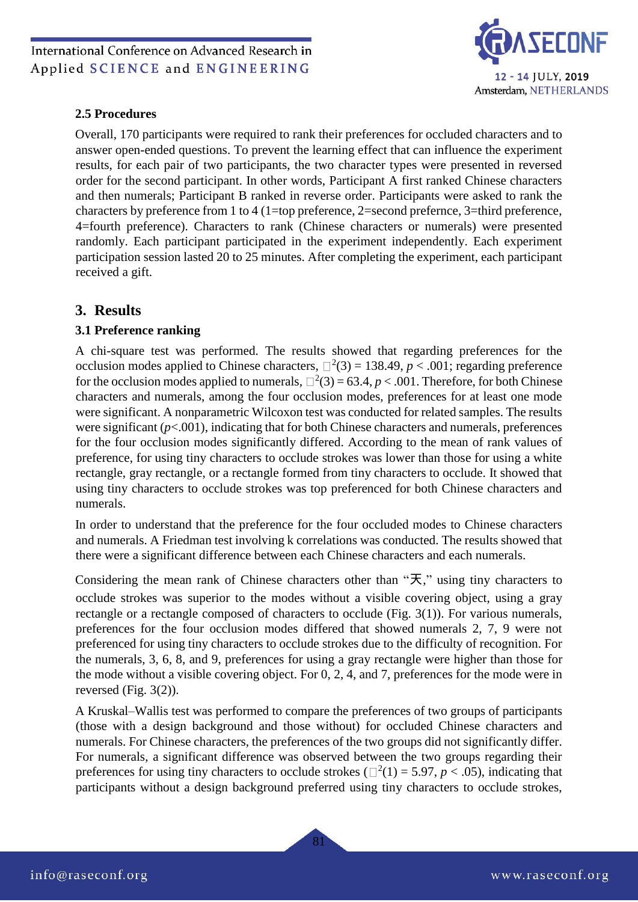

#### **2.5 Procedures**

Overall, 170 participants were required to rank their preferences for occluded characters and to answer open-ended questions. To prevent the learning effect that can influence the experiment results, for each pair of two participants, the two character types were presented in reversed order for the second participant. In other words, Participant A first ranked Chinese characters and then numerals; Participant B ranked in reverse order. Participants were asked to rank the characters by preference from 1 to 4 (1=top preference, 2=second prefernce, 3=third preference, 4=fourth preference). Characters to rank (Chinese characters or numerals) were presented randomly. Each participant participated in the experiment independently. Each experiment participation session lasted 20 to 25 minutes. After completing the experiment, each participant received a gift.

## **3. Results**

#### **3.1 Preference ranking**

A chi-square test was performed. The results showed that regarding preferences for the occlusion modes applied to Chinese characters,  $\Box^2(3) = 138.49$ ,  $p < .001$ ; regarding preference for the occlusion modes applied to numerals,  $\Box^2(3) = 63.4$ ,  $p < .001$ . Therefore, for both Chinese characters and numerals, among the four occlusion modes, preferences for at least one mode were significant. A nonparametric Wilcoxon test was conducted for related samples. The results were significant (*p*<.001), indicating that for both Chinese characters and numerals, preferences for the four occlusion modes significantly differed. According to the mean of rank values of preference, for using tiny characters to occlude strokes was lower than those for using a white rectangle, gray rectangle, or a rectangle formed from tiny characters to occlude. It showed that using tiny characters to occlude strokes was top preferenced for both Chinese characters and numerals.

In order to understand that the preference for the four occluded modes to Chinese characters and numerals. A Friedman test involving k correlations was conducted. The results showed that there were a significant difference between each Chinese characters and each numerals.

Considering the mean rank of Chinese characters other than "天," using tiny characters to occlude strokes was superior to the modes without a visible covering object, using a gray rectangle or a rectangle composed of characters to occlude (Fig. 3(1)). For various numerals, preferences for the four occlusion modes differed that showed numerals 2, 7, 9 were not preferenced for using tiny characters to occlude strokes due to the difficulty of recognition. For the numerals, 3, 6, 8, and 9, preferences for using a gray rectangle were higher than those for the mode without a visible covering object. For 0, 2, 4, and 7, preferences for the mode were in reversed (Fig. 3(2)).

A Kruskal–Wallis test was performed to compare the preferences of two groups of participants (those with a design background and those without) for occluded Chinese characters and numerals. For Chinese characters, the preferences of the two groups did not significantly differ. For numerals, a significant difference was observed between the two groups regarding their preferences for using tiny characters to occlude strokes ( $\Box^2(1) = 5.97$ ,  $p < .05$ ), indicating that participants without a design background preferred using tiny characters to occlude strokes,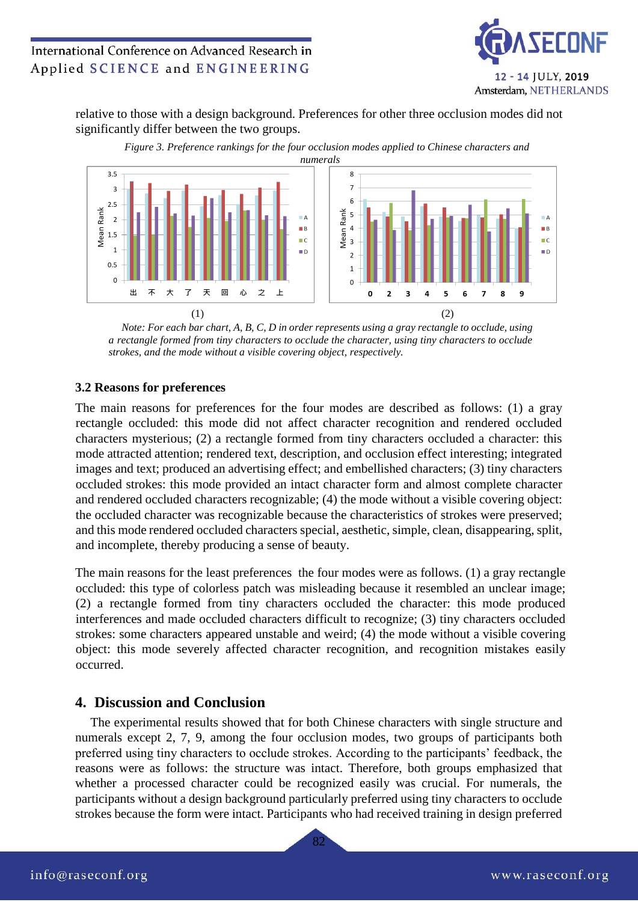

relative to those with a design background. Preferences for other three occlusion modes did not significantly differ between the two groups.





*Note: For each bar chart, A, B, C, D in order represents using a gray rectangle to occlude, using a rectangle formed from tiny characters to occlude the character, using tiny characters to occlude strokes, and the mode without a visible covering object, respectively.* 

#### **3.2 Reasons for preferences**

The main reasons for preferences for the four modes are described as follows: (1) a gray rectangle occluded: this mode did not affect character recognition and rendered occluded characters mysterious; (2) a rectangle formed from tiny characters occluded a character: this mode attracted attention; rendered text, description, and occlusion effect interesting; integrated images and text; produced an advertising effect; and embellished characters; (3) tiny characters occluded strokes: this mode provided an intact character form and almost complete character and rendered occluded characters recognizable; (4) the mode without a visible covering object: the occluded character was recognizable because the characteristics of strokes were preserved; and this mode rendered occluded characters special, aesthetic, simple, clean, disappearing, split, and incomplete, thereby producing a sense of beauty.

The main reasons for the least preferences the four modes were as follows. (1) a gray rectangle occluded: this type of colorless patch was misleading because it resembled an unclear image; (2) a rectangle formed from tiny characters occluded the character: this mode produced interferences and made occluded characters difficult to recognize; (3) tiny characters occluded strokes: some characters appeared unstable and weird; (4) the mode without a visible covering object: this mode severely affected character recognition, and recognition mistakes easily occurred.

## **4. Discussion and Conclusion**

The experimental results showed that for both Chinese characters with single structure and numerals except 2, 7, 9, among the four occlusion modes, two groups of participants both preferred using tiny characters to occlude strokes. According to the participants' feedback, the reasons were as follows: the structure was intact. Therefore, both groups emphasized that whether a processed character could be recognized easily was crucial. For numerals, the participants without a design background particularly preferred using tiny characters to occlude strokes because the form were intact. Participants who had received training in design preferred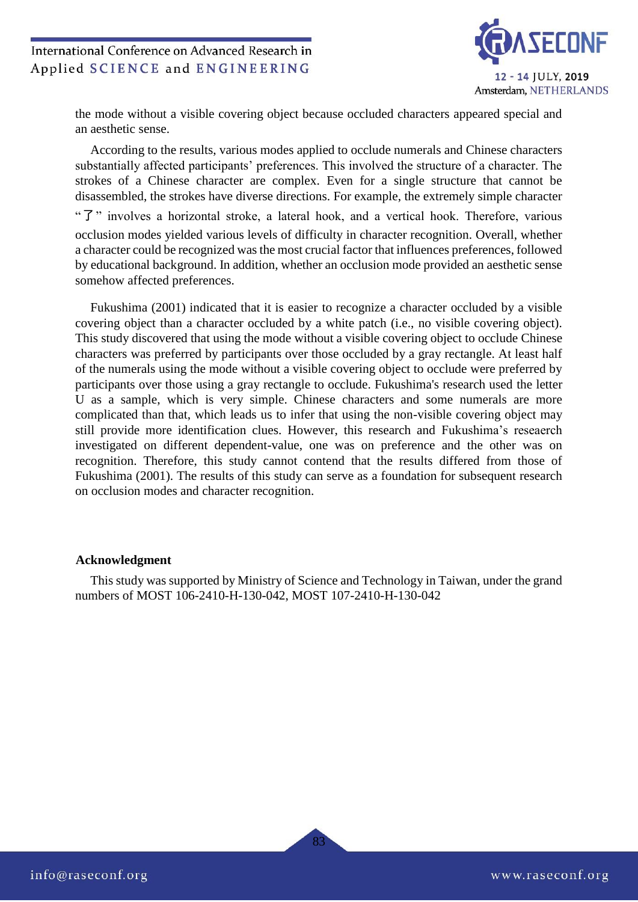

the mode without a visible covering object because occluded characters appeared special and an aesthetic sense.

According to the results, various modes applied to occlude numerals and Chinese characters substantially affected participants' preferences. This involved the structure of a character. The strokes of a Chinese character are complex. Even for a single structure that cannot be disassembled, the strokes have diverse directions. For example, the extremely simple character "了" involves a horizontal stroke, a lateral hook, and a vertical hook. Therefore, various occlusion modes yielded various levels of difficulty in character recognition. Overall, whether a character could be recognized was the most crucial factor that influences preferences, followed by educational background. In addition, whether an occlusion mode provided an aesthetic sense somehow affected preferences.

Fukushima (2001) indicated that it is easier to recognize a character occluded by a visible covering object than a character occluded by a white patch (i.e., no visible covering object). This study discovered that using the mode without a visible covering object to occlude Chinese characters was preferred by participants over those occluded by a gray rectangle. At least half of the numerals using the mode without a visible covering object to occlude were preferred by participants over those using a gray rectangle to occlude. Fukushima's research used the letter U as a sample, which is very simple. Chinese characters and some numerals are more complicated than that, which leads us to infer that using the non-visible covering object may still provide more identification clues. However, this research and Fukushima's reseaerch investigated on different dependent-value, one was on preference and the other was on recognition. Therefore, this study cannot contend that the results differed from those of Fukushima (2001). The results of this study can serve as a foundation for subsequent research on occlusion modes and character recognition.

#### **Acknowledgment**

This study was supported by Ministry of Science and Technology in Taiwan, under the grand numbers of MOST 106-2410-H-130-042, MOST 107-2410-H-130-042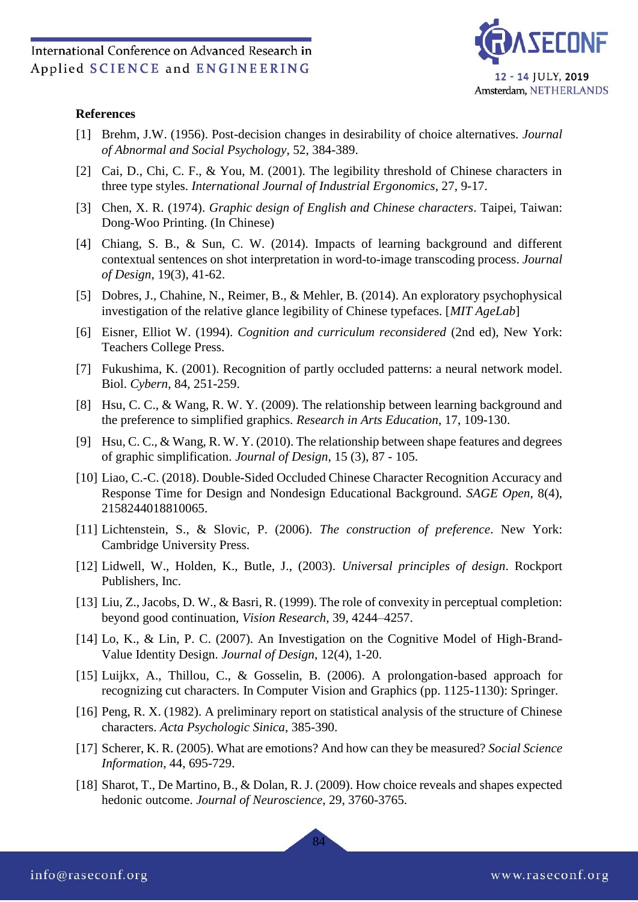

#### **References**

- [1] Brehm, J.W. (1956). Post-decision changes in desirability of choice alternatives. *Journal of Abnormal and Social Psychology*, 52, 384-389.
- [2] Cai, D., Chi, C. F., & You, M. (2001). The legibility threshold of Chinese characters in three type styles. *International Journal of Industrial Ergonomics*, 27, 9-17.
- [3] Chen, X. R. (1974). *Graphic design of English and Chinese characters*. Taipei, Taiwan: Dong-Woo Printing. (In Chinese)
- [4] Chiang, S. B., & Sun, C. W. (2014). Impacts of learning background and different contextual sentences on shot interpretation in word-to-image transcoding process. *Journal of Design*, 19(3), 41-62.
- [5] Dobres, J., Chahine, N., Reimer, B., & Mehler, B. (2014). An exploratory psychophysical investigation of the relative glance legibility of Chinese typefaces. [*MIT AgeLab*]
- [6] Eisner, Elliot W. (1994). *Cognition and curriculum reconsidered* (2nd ed), New York: Teachers College Press.
- [7] Fukushima, K. (2001). Recognition of partly occluded patterns: a neural network model. Biol. *Cybern*, 84, 251-259.
- [8] Hsu, C. C., & Wang, R. W. Y. (2009). The relationship between learning background and the preference to simplified graphics. *Research in Arts Education*, 17, 109-130.
- [9] Hsu, C. C., & Wang, R. W. Y. (2010). The relationship between shape features and degrees of graphic simplification. *Journal of Design*, 15 (3), 87 - 105.
- [10] Liao, C.-C. (2018). Double-Sided Occluded Chinese Character Recognition Accuracy and Response Time for Design and Nondesign Educational Background. *SAGE Open*, 8(4), 2158244018810065.
- [11] Lichtenstein, S., & Slovic, P. (2006). *The construction of preference*. New York: Cambridge University Press.
- [12] Lidwell, W., Holden, K., Butle, J., (2003). *Universal principles of design*. Rockport Publishers, Inc.
- [13] Liu, Z., Jacobs, D. W., & Basri, R. (1999). The role of convexity in perceptual completion: beyond good continuation, *Vision Research*, 39, 4244–4257.
- [14] Lo, K., & Lin, P. C. (2007). An Investigation on the Cognitive Model of High-Brand-Value Identity Design. *Journal of Design*, 12(4), 1-20.
- [15] Luijkx, A., Thillou, C., & Gosselin, B. (2006). A prolongation-based approach for recognizing cut characters. In Computer Vision and Graphics (pp. 1125-1130): Springer.
- [16] Peng, R. X. (1982). A preliminary report on statistical analysis of the structure of Chinese characters. *Acta Psychologic Sinica*, 385-390.
- [17] Scherer, K. R. (2005). What are emotions? And how can they be measured? *Social Science Information*, 44, 695-729.
- [18] Sharot, T., De Martino, B., & Dolan, R. J. (2009). How choice reveals and shapes expected hedonic outcome. *Journal of Neuroscience*, 29, 3760-3765.